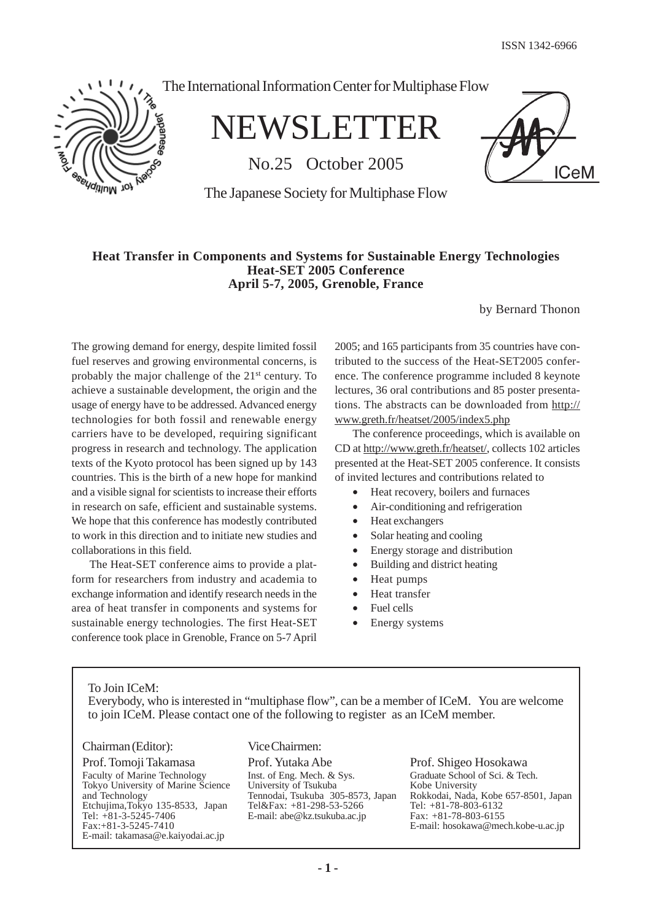ISSN 1342-6966

**ICeM** 



The International Information Center for Multiphase Flow

NEWSLETTER

No.25 October 2005

The Japanese Society for Multiphase Flow

#### **Heat Transfer in Components and Systems for Sustainable Energy Technologies Heat-SET 2005 Conference April 5-7, 2005, Grenoble, France**

by Bernard Thonon

The growing demand for energy, despite limited fossil fuel reserves and growing environmental concerns, is probably the major challenge of the 21st century. To achieve a sustainable development, the origin and the usage of energy have to be addressed. Advanced energy technologies for both fossil and renewable energy carriers have to be developed, requiring significant progress in research and technology. The application texts of the Kyoto protocol has been signed up by 143 countries. This is the birth of a new hope for mankind and a visible signal for scientists to increase their efforts in research on safe, efficient and sustainable systems. We hope that this conference has modestly contributed to work in this direction and to initiate new studies and collaborations in this field.

The Heat-SET conference aims to provide a platform for researchers from industry and academia to exchange information and identify research needs in the area of heat transfer in components and systems for sustainable energy technologies. The first Heat-SET conference took place in Grenoble, France on 5-7 April

2005; and 165 participants from 35 countries have contributed to the success of the Heat-SET2005 conference. The conference programme included 8 keynote lectures, 36 oral contributions and 85 poster presentations. The abstracts can be downloaded from http:// www.greth.fr/heatset/2005/index5.php

The conference proceedings, which is available on CD at http://www.greth.fr/heatset/, collects 102 articles presented at the Heat-SET 2005 conference. It consists of invited lectures and contributions related to

- Heat recovery, boilers and furnaces
- Air-conditioning and refrigeration
- Heat exchangers
- Solar heating and cooling
- Energy storage and distribution
- Building and district heating
- Heat pumps
- Heat transfer
- Fuel cells
- Energy systems

To Join ICeM:

Everybody, who is interested in "multiphase flow", can be a member of ICeM. You are welcome to join ICeM. Please contact one of the following to register as an ICeM member.

#### Chairman (Editor):

Prof. Tomoji Takamasa Faculty of Marine Technology Tokyo University of Marine Science and Technology Etchujima,Tokyo 135-8533, Japan Tel: +81-3-5245-7406 Fax:+81-3-5245-7410 E-mail: takamasa@e.kaiyodai.ac.jp

# Vice Chairmen:

Prof. Yutaka Abe Inst. of Eng. Mech. & Sys. University of Tsukuba Tennodai, Tsukuba 305-8573, Japan Tel&Fax: +81-298-53-5266 E-mail: abe@kz.tsukuba.ac.jp

Prof. Shigeo Hosokawa Graduate School of Sci. & Tech. Kobe University Rokkodai, Nada, Kobe 657-8501, Japan Tel: +81-78-803-6132 Fax: +81-78-803-6155 E-mail: hosokawa@mech.kobe-u.ac.jp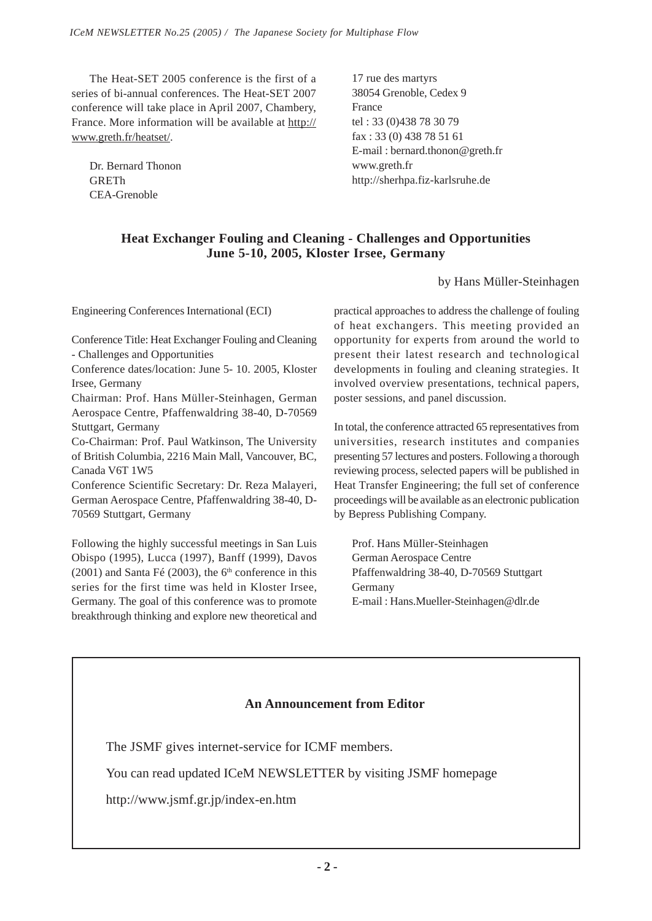The Heat-SET 2005 conference is the first of a series of bi-annual conferences. The Heat-SET 2007 conference will take place in April 2007, Chambery, France. More information will be available at http:// www.greth.fr/heatset/.

Dr. Bernard Thonon GRETh CEA-Grenoble

17 rue des martyrs 38054 Grenoble, Cedex 9 France tel : 33 (0)438 78 30 79 fax : 33 (0) 438 78 51 61 E-mail : bernard.thonon@greth.fr www.greth.fr http://sherhpa.fiz-karlsruhe.de

# **Heat Exchanger Fouling and Cleaning - Challenges and Opportunities June 5-10, 2005, Kloster Irsee, Germany**

# by Hans Müller-Steinhagen

Engineering Conferences International (ECI)

Conference Title: Heat Exchanger Fouling and Cleaning - Challenges and Opportunities

Conference dates/location: June 5- 10. 2005, Kloster Irsee, Germany

Chairman: Prof. Hans Müller-Steinhagen, German Aerospace Centre, Pfaffenwaldring 38-40, D-70569 Stuttgart, Germany

Co-Chairman: Prof. Paul Watkinson, The University of British Columbia, 2216 Main Mall, Vancouver, BC, Canada V6T 1W5

Conference Scientific Secretary: Dr. Reza Malayeri, German Aerospace Centre, Pfaffenwaldring 38-40, D-70569 Stuttgart, Germany

Following the highly successful meetings in San Luis Obispo (1995), Lucca (1997), Banff (1999), Davos  $(2001)$  and Santa Fé  $(2003)$ , the 6<sup>th</sup> conference in this series for the first time was held in Kloster Irsee, Germany. The goal of this conference was to promote breakthrough thinking and explore new theoretical and practical approaches to address the challenge of fouling of heat exchangers. This meeting provided an opportunity for experts from around the world to present their latest research and technological developments in fouling and cleaning strategies. It involved overview presentations, technical papers, poster sessions, and panel discussion.

In total, the conference attracted 65 representatives from universities, research institutes and companies presenting 57 lectures and posters. Following a thorough reviewing process, selected papers will be published in Heat Transfer Engineering; the full set of conference proceedings will be available as an electronic publication by Bepress Publishing Company.

Prof. Hans Müller-Steinhagen German Aerospace Centre Pfaffenwaldring 38-40, D-70569 Stuttgart Germany E-mail : Hans.Mueller-Steinhagen@dlr.de

# **An Announcement from Editor**

The JSMF gives internet-service for ICMF members.

You can read updated ICeM NEWSLETTER by visiting JSMF homepage

http://www.jsmf.gr.jp/index-en.htm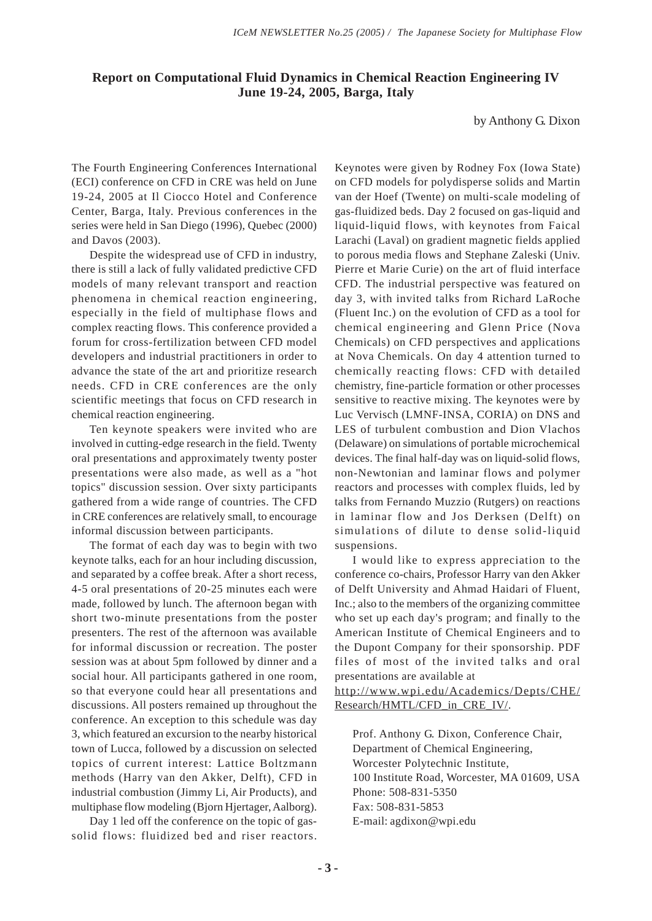# **Report on Computational Fluid Dynamics in Chemical Reaction Engineering IV June 19-24, 2005, Barga, Italy**

by Anthony G. Dixon

The Fourth Engineering Conferences International (ECI) conference on CFD in CRE was held on June 19-24, 2005 at Il Ciocco Hotel and Conference Center, Barga, Italy. Previous conferences in the series were held in San Diego (1996), Quebec (2000) and Davos (2003).

Despite the widespread use of CFD in industry, there is still a lack of fully validated predictive CFD models of many relevant transport and reaction phenomena in chemical reaction engineering, especially in the field of multiphase flows and complex reacting flows. This conference provided a forum for cross-fertilization between CFD model developers and industrial practitioners in order to advance the state of the art and prioritize research needs. CFD in CRE conferences are the only scientific meetings that focus on CFD research in chemical reaction engineering.

Ten keynote speakers were invited who are involved in cutting-edge research in the field. Twenty oral presentations and approximately twenty poster presentations were also made, as well as a "hot topics" discussion session. Over sixty participants gathered from a wide range of countries. The CFD in CRE conferences are relatively small, to encourage informal discussion between participants.

The format of each day was to begin with two keynote talks, each for an hour including discussion, and separated by a coffee break. After a short recess, 4-5 oral presentations of 20-25 minutes each were made, followed by lunch. The afternoon began with short two-minute presentations from the poster presenters. The rest of the afternoon was available for informal discussion or recreation. The poster session was at about 5pm followed by dinner and a social hour. All participants gathered in one room, so that everyone could hear all presentations and discussions. All posters remained up throughout the conference. An exception to this schedule was day 3, which featured an excursion to the nearby historical town of Lucca, followed by a discussion on selected topics of current interest: Lattice Boltzmann methods (Harry van den Akker, Delft), CFD in industrial combustion (Jimmy Li, Air Products), and multiphase flow modeling (Bjorn Hjertager, Aalborg).

Day 1 led off the conference on the topic of gassolid flows: fluidized bed and riser reactors. Keynotes were given by Rodney Fox (Iowa State) on CFD models for polydisperse solids and Martin van der Hoef (Twente) on multi-scale modeling of gas-fluidized beds. Day 2 focused on gas-liquid and liquid-liquid flows, with keynotes from Faical Larachi (Laval) on gradient magnetic fields applied to porous media flows and Stephane Zaleski (Univ. Pierre et Marie Curie) on the art of fluid interface CFD. The industrial perspective was featured on day 3, with invited talks from Richard LaRoche (Fluent Inc.) on the evolution of CFD as a tool for chemical engineering and Glenn Price (Nova Chemicals) on CFD perspectives and applications at Nova Chemicals. On day 4 attention turned to chemically reacting flows: CFD with detailed chemistry, fine-particle formation or other processes sensitive to reactive mixing. The keynotes were by Luc Vervisch (LMNF-INSA, CORIA) on DNS and LES of turbulent combustion and Dion Vlachos (Delaware) on simulations of portable microchemical devices. The final half-day was on liquid-solid flows, non-Newtonian and laminar flows and polymer reactors and processes with complex fluids, led by talks from Fernando Muzzio (Rutgers) on reactions in laminar flow and Jos Derksen (Delft) on simulations of dilute to dense solid-liquid suspensions.

I would like to express appreciation to the conference co-chairs, Professor Harry van den Akker of Delft University and Ahmad Haidari of Fluent, Inc.; also to the members of the organizing committee who set up each day's program; and finally to the American Institute of Chemical Engineers and to the Dupont Company for their sponsorship. PDF files of most of the invited talks and oral presentations are available at

http://www.wpi.edu/Academics/Depts/CHE/ Research/HMTL/CFD\_in\_CRE\_IV/.

Prof. Anthony G. Dixon, Conference Chair, Department of Chemical Engineering, Worcester Polytechnic Institute, 100 Institute Road, Worcester, MA 01609, USA Phone: 508-831-5350 Fax: 508-831-5853 E-mail: agdixon@wpi.edu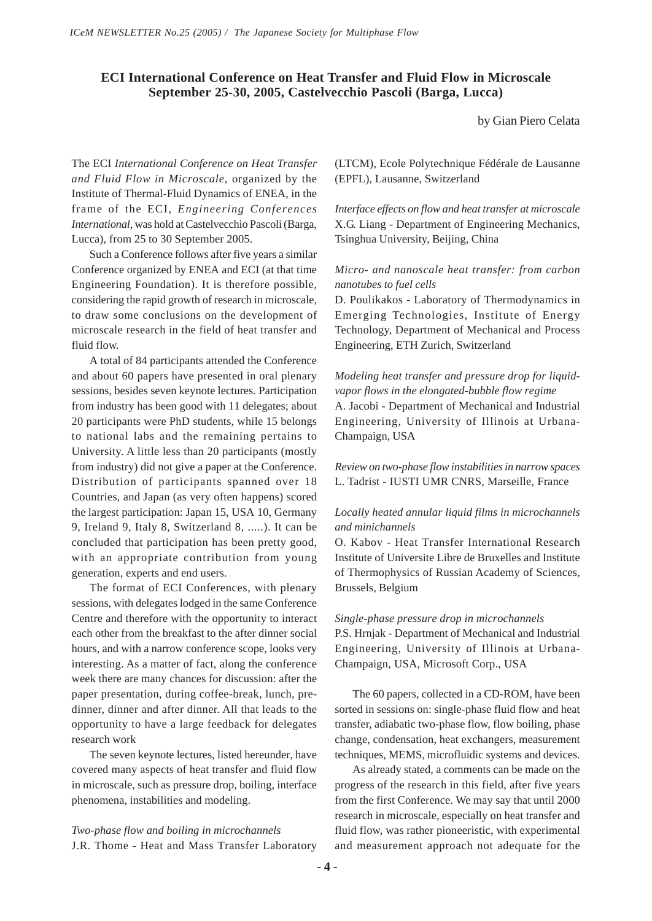# **ECI International Conference on Heat Transfer and Fluid Flow in Microscale September 25-30, 2005, Castelvecchio Pascoli (Barga, Lucca)**

by Gian Piero Celata

The ECI *International Conference on Heat Transfer and Fluid Flow in Microscale*, organized by the Institute of Thermal-Fluid Dynamics of ENEA, in the frame of the ECI, *Engineering Conferences International*, was hold at Castelvecchio Pascoli (Barga, Lucca), from 25 to 30 September 2005.

Such a Conference follows after five years a similar Conference organized by ENEA and ECI (at that time Engineering Foundation). It is therefore possible, considering the rapid growth of research in microscale, to draw some conclusions on the development of microscale research in the field of heat transfer and fluid flow.

A total of 84 participants attended the Conference and about 60 papers have presented in oral plenary sessions, besides seven keynote lectures. Participation from industry has been good with 11 delegates; about 20 participants were PhD students, while 15 belongs to national labs and the remaining pertains to University. A little less than 20 participants (mostly from industry) did not give a paper at the Conference. Distribution of participants spanned over 18 Countries, and Japan (as very often happens) scored the largest participation: Japan 15, USA 10, Germany 9, Ireland 9, Italy 8, Switzerland 8, .....). It can be concluded that participation has been pretty good, with an appropriate contribution from young generation, experts and end users.

The format of ECI Conferences, with plenary sessions, with delegates lodged in the same Conference Centre and therefore with the opportunity to interact each other from the breakfast to the after dinner social hours, and with a narrow conference scope, looks very interesting. As a matter of fact, along the conference week there are many chances for discussion: after the paper presentation, during coffee-break, lunch, predinner, dinner and after dinner. All that leads to the opportunity to have a large feedback for delegates research work

The seven keynote lectures, listed hereunder, have covered many aspects of heat transfer and fluid flow in microscale, such as pressure drop, boiling, interface phenomena, instabilities and modeling.

*Two-phase flow and boiling in microchannels* J.R. Thome - Heat and Mass Transfer Laboratory (LTCM), Ecole Polytechnique Fédérale de Lausanne (EPFL), Lausanne, Switzerland

*Interface effects on flow and heat transfer at microscale* X.G. Liang - Department of Engineering Mechanics, Tsinghua University, Beijing, China

#### *Micro- and nanoscale heat transfer: from carbon nanotubes to fuel cells*

D. Poulikakos - Laboratory of Thermodynamics in Emerging Technologies, Institute of Energy Technology, Department of Mechanical and Process Engineering, ETH Zurich, Switzerland

*Modeling heat transfer and pressure drop for liquidvapor flows in the elongated-bubble flow regime* A. Jacobi - Department of Mechanical and Industrial Engineering, University of Illinois at Urbana-Champaign, USA

*Review on two-phase flow instabilities in narrow spaces* L. Tadrist - IUSTI UMR CNRS, Marseille, France

#### *Locally heated annular liquid films in microchannels and minichannels*

O. Kabov - Heat Transfer International Research Institute of Universite Libre de Bruxelles and Institute of Thermophysics of Russian Academy of Sciences, Brussels, Belgium

#### *Single-phase pressure drop in microchannels*

P.S. Hrnjak - Department of Mechanical and Industrial Engineering, University of Illinois at Urbana-Champaign, USA, Microsoft Corp., USA

The 60 papers, collected in a CD-ROM, have been sorted in sessions on: single-phase fluid flow and heat transfer, adiabatic two-phase flow, flow boiling, phase change, condensation, heat exchangers, measurement techniques, MEMS, microfluidic systems and devices.

As already stated, a comments can be made on the progress of the research in this field, after five years from the first Conference. We may say that until 2000 research in microscale, especially on heat transfer and fluid flow, was rather pioneeristic, with experimental and measurement approach not adequate for the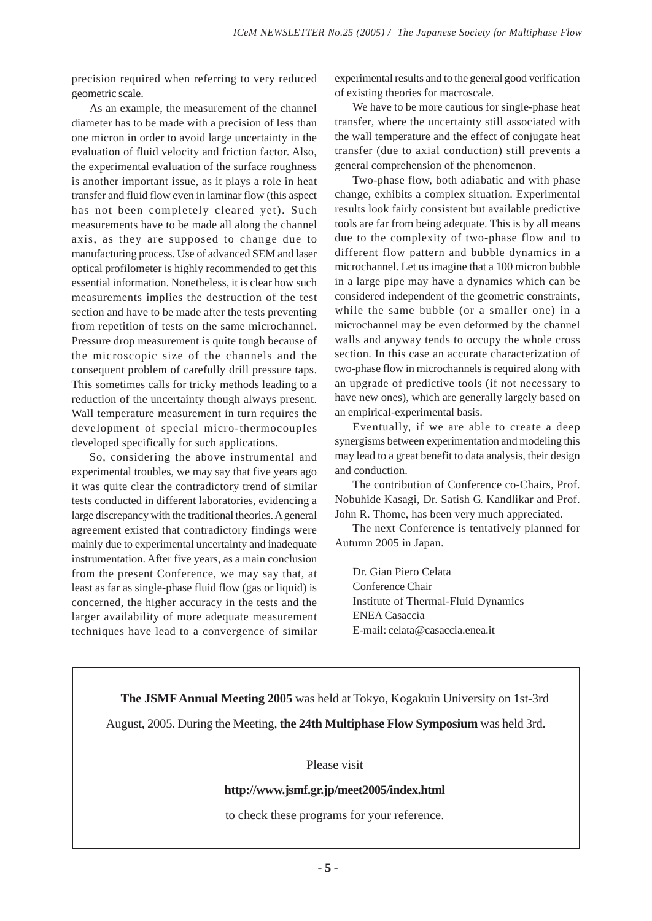precision required when referring to very reduced geometric scale.

As an example, the measurement of the channel diameter has to be made with a precision of less than one micron in order to avoid large uncertainty in the evaluation of fluid velocity and friction factor. Also, the experimental evaluation of the surface roughness is another important issue, as it plays a role in heat transfer and fluid flow even in laminar flow (this aspect has not been completely cleared yet). Such measurements have to be made all along the channel axis, as they are supposed to change due to manufacturing process. Use of advanced SEM and laser optical profilometer is highly recommended to get this essential information. Nonetheless, it is clear how such measurements implies the destruction of the test section and have to be made after the tests preventing from repetition of tests on the same microchannel. Pressure drop measurement is quite tough because of the microscopic size of the channels and the consequent problem of carefully drill pressure taps. This sometimes calls for tricky methods leading to a reduction of the uncertainty though always present. Wall temperature measurement in turn requires the development of special micro-thermocouples developed specifically for such applications.

So, considering the above instrumental and experimental troubles, we may say that five years ago it was quite clear the contradictory trend of similar tests conducted in different laboratories, evidencing a large discrepancy with the traditional theories. A general agreement existed that contradictory findings were mainly due to experimental uncertainty and inadequate instrumentation. After five years, as a main conclusion from the present Conference, we may say that, at least as far as single-phase fluid flow (gas or liquid) is concerned, the higher accuracy in the tests and the larger availability of more adequate measurement techniques have lead to a convergence of similar experimental results and to the general good verification of existing theories for macroscale.

We have to be more cautious for single-phase heat transfer, where the uncertainty still associated with the wall temperature and the effect of conjugate heat transfer (due to axial conduction) still prevents a general comprehension of the phenomenon.

Two-phase flow, both adiabatic and with phase change, exhibits a complex situation. Experimental results look fairly consistent but available predictive tools are far from being adequate. This is by all means due to the complexity of two-phase flow and to different flow pattern and bubble dynamics in a microchannel. Let us imagine that a 100 micron bubble in a large pipe may have a dynamics which can be considered independent of the geometric constraints, while the same bubble (or a smaller one) in a microchannel may be even deformed by the channel walls and anyway tends to occupy the whole cross section. In this case an accurate characterization of two-phase flow in microchannels is required along with an upgrade of predictive tools (if not necessary to have new ones), which are generally largely based on an empirical-experimental basis.

Eventually, if we are able to create a deep synergisms between experimentation and modeling this may lead to a great benefit to data analysis, their design and conduction.

The contribution of Conference co-Chairs, Prof. Nobuhide Kasagi, Dr. Satish G. Kandlikar and Prof. John R. Thome, has been very much appreciated.

The next Conference is tentatively planned for Autumn 2005 in Japan.

Dr. Gian Piero Celata Conference Chair Institute of Thermal-Fluid Dynamics ENEA Casaccia E-mail: celata@casaccia.enea.it

**The JSMF Annual Meeting 2005** was held at Tokyo, Kogakuin University on 1st-3rd

August, 2005. During the Meeting, **the 24th Multiphase Flow Symposium** was held 3rd.

Please visit

#### **http://www.jsmf.gr.jp/meet2005/index.html**

to check these programs for your reference.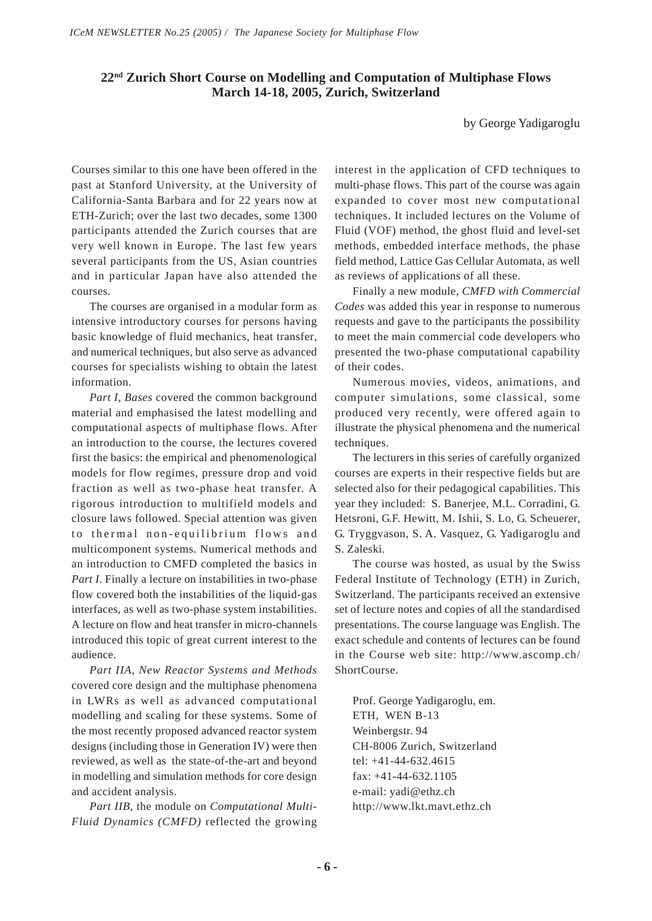# **22nd Zurich Short Course on Modelling and Computation of Multiphase Flows March 14-18, 2005, Zurich, Switzerland**

by George Yadigaroglu

Courses similar to this one have been offered in the past at Stanford University, at the University of California-Santa Barbara and for 22 years now at ETH-Zurich; over the last two decades, some 1300 participants attended the Zurich courses that are very well known in Europe. The last few years several participants from the US, Asian countries and in particular Japan have also attended the courses.

The courses are organised in a modular form as intensive introductory courses for persons having basic knowledge of fluid mechanics, heat transfer, and numerical techniques, but also serve as advanced courses for specialists wishing to obtain the latest information.

*Part I*, *Bases* covered the common background material and emphasised the latest modelling and computational aspects of multiphase flows. After an introduction to the course, the lectures covered first the basics: the empirical and phenomenological models for flow regimes, pressure drop and void fraction as well as two-phase heat transfer. A rigorous introduction to multifield models and closure laws followed. Special attention was given to thermal non-equilibrium flows and multicomponent systems. Numerical methods and an introduction to CMFD completed the basics in *Part I*. Finally a lecture on instabilities in two-phase flow covered both the instabilities of the liquid-gas interfaces, as well as two-phase system instabilities. A lecture on flow and heat transfer in micro-channels introduced this topic of great current interest to the audience.

*Part IIA*, *New Reactor Systems and Methods* covered core design and the multiphase phenomena in LWRs as well as advanced computational modelling and scaling for these systems. Some of the most recently proposed advanced reactor system designs (including those in Generation IV) were then reviewed, as well as the state-of-the-art and beyond in modelling and simulation methods for core design and accident analysis.

*Part IIB*, the module on *Computational Multi-Fluid Dynamics (CMFD)* reflected the growing interest in the application of CFD techniques to multi-phase flows. This part of the course was again expanded to cover most new computational techniques. It included lectures on the Volume of Fluid (VOF) method, the ghost fluid and level-set methods, embedded interface methods, the phase field method, Lattice Gas Cellular Automata, as well as reviews of applications of all these.

Finally a new module, *CMFD with Commercial Codes* was added this year in response to numerous requests and gave to the participants the possibility to meet the main commercial code developers who presented the two-phase computational capability of their codes.

Numerous movies, videos, animations, and computer simulations, some classical, some produced very recently, were offered again to illustrate the physical phenomena and the numerical techniques.

The lecturers in this series of carefully organized courses are experts in their respective fields but are selected also for their pedagogical capabilities. This year they included: S. Banerjee, M.L. Corradini, G. Hetsroni, G.F. Hewitt, M. Ishii, S. Lo, G. Scheuerer, G. Tryggvason, S. A. Vasquez, G. Yadigaroglu and S. Zaleski.

The course was hosted, as usual by the Swiss Federal Institute of Technology (ETH) in Zurich, Switzerland. The participants received an extensive set of lecture notes and copies of all the standardised presentations. The course language was English. The exact schedule and contents of lectures can be found in the Course web site: http://www.ascomp.ch/ ShortCourse.

Prof. George Yadigaroglu, em. ETH, WEN B-13 Weinbergstr. 94 CH-8006 Zurich, Switzerland tel: +41-44-632.4615 fax: +41-44-632.1105 e-mail: yadi@ethz.ch http://www.lkt.mavt.ethz.ch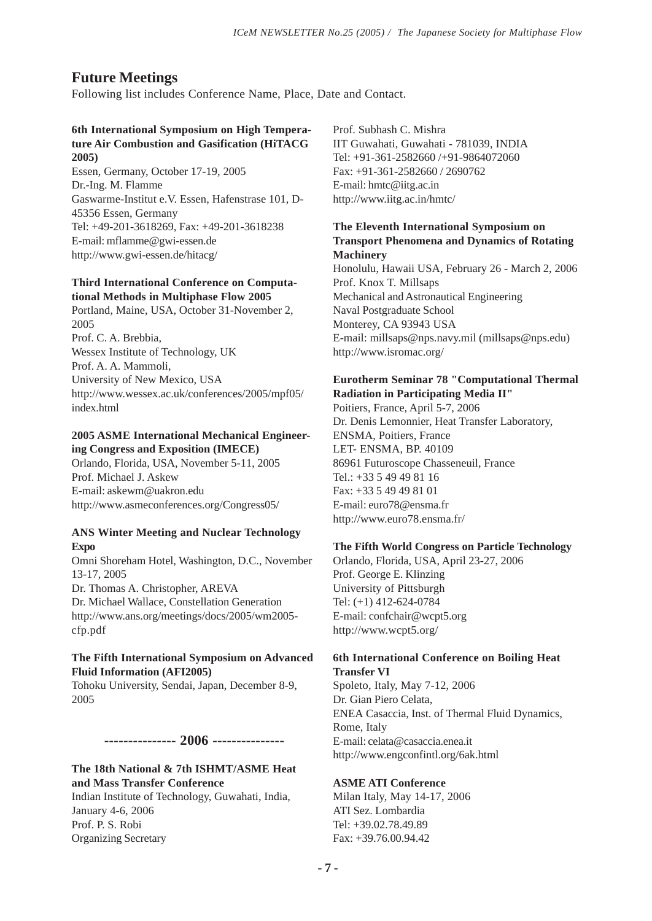# **Future Meetings**

Following list includes Conference Name, Place, Date and Contact.

# **6th International Symposium on High Temperature Air Combustion and Gasification (HiTACG 2005)**

Essen, Germany, October 17-19, 2005 Dr.-Ing. M. Flamme Gaswarme-Institut e.V. Essen, Hafenstrase 101, D-45356 Essen, Germany Tel: +49-201-3618269, Fax: +49-201-3618238 E-mail: mflamme@gwi-essen.de http://www.gwi-essen.de/hitacg/

# **Third International Conference on Computational Methods in Multiphase Flow 2005**

Portland, Maine, USA, October 31-November 2, 2005 Prof. C. A. Brebbia, Wessex Institute of Technology, UK Prof. A. A. Mammoli, University of New Mexico, USA http://www.wessex.ac.uk/conferences/2005/mpf05/ index.html

## **2005 ASME International Mechanical Engineering Congress and Exposition (IMECE)**

Orlando, Florida, USA, November 5-11, 2005 Prof. Michael J. Askew E-mail: askewm@uakron.edu http://www.asmeconferences.org/Congress05/

#### **ANS Winter Meeting and Nuclear Technology Expo**

Omni Shoreham Hotel, Washington, D.C., November 13-17, 2005 Dr. Thomas A. Christopher, AREVA

Dr. Michael Wallace, Constellation Generation http://www.ans.org/meetings/docs/2005/wm2005 cfp.pdf

# **The Fifth International Symposium on Advanced Fluid Information (AFI2005)**

Tohoku University, Sendai, Japan, December 8-9, 2005

#### **--------------- 2006 ---------------**

# **The 18th National & 7th ISHMT/ASME Heat and Mass Transfer Conference**

Indian Institute of Technology, Guwahati, India, January 4-6, 2006 Prof. P. S. Robi Organizing Secretary

Prof. Subhash C. Mishra IIT Guwahati, Guwahati - 781039, INDIA Tel: +91-361-2582660 /+91-9864072060 Fax: +91-361-2582660 / 2690762 E-mail: hmtc@iitg.ac.in http://www.iitg.ac.in/hmtc/

## **The Eleventh International Symposium on Transport Phenomena and Dynamics of Rotating Machinery**

Honolulu, Hawaii USA, February 26 - March 2, 2006 Prof. Knox T. Millsaps Mechanical and Astronautical Engineering Naval Postgraduate School Monterey, CA 93943 USA E-mail: millsaps@nps.navy.mil (millsaps@nps.edu) http://www.isromac.org/

# **Eurotherm Seminar 78 "Computational Thermal Radiation in Participating Media II"**

Poitiers, France, April 5-7, 2006 Dr. Denis Lemonnier, Heat Transfer Laboratory, ENSMA, Poitiers, France LET- ENSMA, BP. 40109 86961 Futuroscope Chasseneuil, France Tel.: +33 5 49 49 81 16 Fax: +33 5 49 49 81 01 E-mail: euro78@ensma.fr http://www.euro78.ensma.fr/

#### **The Fifth World Congress on Particle Technology**

Orlando, Florida, USA, April 23-27, 2006 Prof. George E. Klinzing University of Pittsburgh Tel: (+1) 412-624-0784 E-mail: confchair@wcpt5.org http://www.wcpt5.org/

# **6th International Conference on Boiling Heat Transfer VI**

Spoleto, Italy, May 7-12, 2006 Dr. Gian Piero Celata, ENEA Casaccia, Inst. of Thermal Fluid Dynamics, Rome, Italy E-mail: celata@casaccia.enea.it http://www.engconfintl.org/6ak.html

# **ASME ATI Conference**

Milan Italy, May 14-17, 2006 ATI Sez. Lombardia Tel: +39.02.78.49.89 Fax: +39.76.00.94.42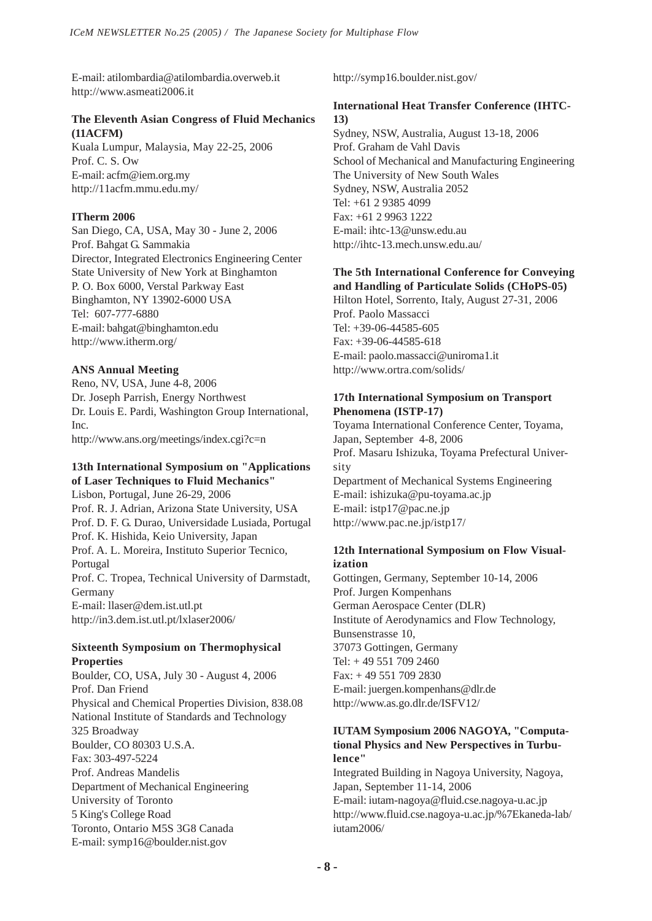E-mail: atilombardia@atilombardia.overweb.it http://www.asmeati2006.it

# **The Eleventh Asian Congress of Fluid Mechanics (11ACFM)**

Kuala Lumpur, Malaysia, May 22-25, 2006 Prof. C. S. Ow E-mail: acfm@iem.org.my http://11acfm.mmu.edu.my/

# **ITherm 2006**

San Diego, CA, USA, May 30 - June 2, 2006 Prof. Bahgat G. Sammakia Director, Integrated Electronics Engineering Center State University of New York at Binghamton P. O. Box 6000, Verstal Parkway East Binghamton, NY 13902-6000 USA Tel: 607-777-6880 E-mail: bahgat@binghamton.edu http://www.itherm.org/

# **ANS Annual Meeting**

Reno, NV, USA, June 4-8, 2006 Dr. Joseph Parrish, Energy Northwest Dr. Louis E. Pardi, Washington Group International, Inc. http://www.ans.org/meetings/index.cgi?c=n

# **13th International Symposium on "Applications of Laser Techniques to Fluid Mechanics"**

Lisbon, Portugal, June 26-29, 2006 Prof. R. J. Adrian, Arizona State University, USA Prof. D. F. G. Durao, Universidade Lusiada, Portugal Prof. K. Hishida, Keio University, Japan Prof. A. L. Moreira, Instituto Superior Tecnico, Portugal Prof. C. Tropea, Technical University of Darmstadt, Germany E-mail: llaser@dem.ist.utl.pt http://in3.dem.ist.utl.pt/lxlaser2006/

#### **Sixteenth Symposium on Thermophysical Properties**

Boulder, CO, USA, July 30 - August 4, 2006 Prof. Dan Friend Physical and Chemical Properties Division, 838.08 National Institute of Standards and Technology 325 Broadway Boulder, CO 80303 U.S.A. Fax: 303-497-5224 Prof. Andreas Mandelis Department of Mechanical Engineering University of Toronto 5 King's College Road Toronto, Ontario M5S 3G8 Canada E-mail: symp16@boulder.nist.gov

http://symp16.boulder.nist.gov/

# **International Heat Transfer Conference (IHTC-13)**

Sydney, NSW, Australia, August 13-18, 2006 Prof. Graham de Vahl Davis School of Mechanical and Manufacturing Engineering The University of New South Wales Sydney, NSW, Australia 2052 Tel: +61 2 9385 4099 Fax: +61 2 9963 1222 E-mail: ihtc-13@unsw.edu.au http://ihtc-13.mech.unsw.edu.au/

#### **The 5th International Conference for Conveying and Handling of Particulate Solids (CHoPS-05)**

Hilton Hotel, Sorrento, Italy, August 27-31, 2006 Prof. Paolo Massacci Tel: +39-06-44585-605 Fax: +39-06-44585-618 E-mail: paolo.massacci@uniroma1.it http://www.ortra.com/solids/

## **17th International Symposium on Transport Phenomena (ISTP-17)**

Toyama International Conference Center, Toyama, Japan, September 4-8, 2006 Prof. Masaru Ishizuka, Toyama Prefectural University Department of Mechanical Systems Engineering E-mail: ishizuka@pu-toyama.ac.jp E-mail: istp17@pac.ne.jp http://www.pac.ne.jp/istp17/

#### **12th International Symposium on Flow Visualization**

Gottingen, Germany, September 10-14, 2006 Prof. Jurgen Kompenhans German Aerospace Center (DLR) Institute of Aerodynamics and Flow Technology, Bunsenstrasse 10, 37073 Gottingen, Germany Tel: + 49 551 709 2460 Fax: + 49 551 709 2830 E-mail: juergen.kompenhans@dlr.de http://www.as.go.dlr.de/ISFV12/

## **IUTAM Symposium 2006 NAGOYA, "Computational Physics and New Perspectives in Turbulence"**

Integrated Building in Nagoya University, Nagoya, Japan, September 11-14, 2006

E-mail: iutam-nagoya@fluid.cse.nagoya-u.ac.jp http://www.fluid.cse.nagoya-u.ac.jp/%7Ekaneda-lab/ iutam2006/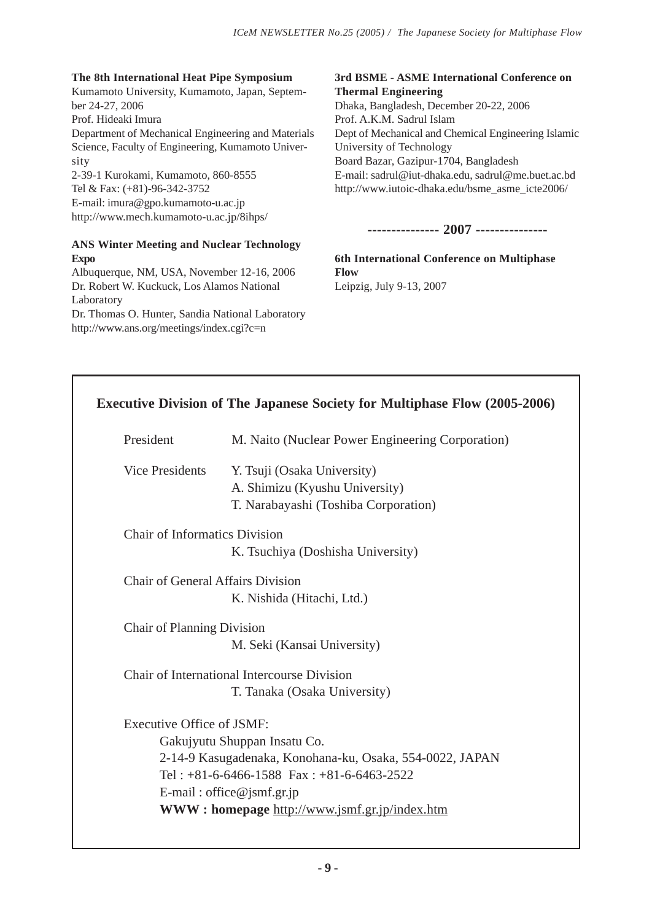# **The 8th International Heat Pipe Symposium**

Kumamoto University, Kumamoto, Japan, September 24-27, 2006 Prof. Hideaki Imura Department of Mechanical Engineering and Materials Science, Faculty of Engineering, Kumamoto University 2-39-1 Kurokami, Kumamoto, 860-8555 Tel & Fax: (+81)-96-342-3752 E-mail: imura@gpo.kumamoto-u.ac.jp http://www.mech.kumamoto-u.ac.jp/8ihps/

# **ANS Winter Meeting and Nuclear Technology Expo**

Albuquerque, NM, USA, November 12-16, 2006 Dr. Robert W. Kuckuck, Los Alamos National Laboratory Dr. Thomas O. Hunter, Sandia National Laboratory http://www.ans.org/meetings/index.cgi?c=n

# **3rd BSME - ASME International Conference on Thermal Engineering** Dhaka, Bangladesh, December 20-22, 2006

Prof. A.K.M. Sadrul Islam Dept of Mechanical and Chemical Engineering Islamic University of Technology Board Bazar, Gazipur-1704, Bangladesh E-mail: sadrul@iut-dhaka.edu, sadrul@me.buet.ac.bd http://www.iutoic-dhaka.edu/bsme\_asme\_icte2006/

**--------------- 2007 ---------------**

**6th International Conference on Multiphase Flow** Leipzig, July 9-13, 2007

| <b>Executive Division of The Japanese Society for Multiphase Flow (2005-2006)</b> |                                                          |
|-----------------------------------------------------------------------------------|----------------------------------------------------------|
| President                                                                         | M. Naito (Nuclear Power Engineering Corporation)         |
| <b>Vice Presidents</b>                                                            | Y. Tsuji (Osaka University)                              |
|                                                                                   | A. Shimizu (Kyushu University)                           |
|                                                                                   | T. Narabayashi (Toshiba Corporation)                     |
| <b>Chair of Informatics Division</b>                                              |                                                          |
|                                                                                   | K. Tsuchiya (Doshisha University)                        |
| Chair of General Affairs Division                                                 |                                                          |
|                                                                                   | K. Nishida (Hitachi, Ltd.)                               |
| <b>Chair of Planning Division</b>                                                 |                                                          |
|                                                                                   | M. Seki (Kansai University)                              |
|                                                                                   | Chair of International Intercourse Division              |
|                                                                                   | T. Tanaka (Osaka University)                             |
| <b>Executive Office of JSMF:</b>                                                  |                                                          |
|                                                                                   | Gakujyutu Shuppan Insatu Co.                             |
|                                                                                   | 2-14-9 Kasugadenaka, Konohana-ku, Osaka, 554-0022, JAPAN |
|                                                                                   | Tel: $+81-6-6466-1588$ Fax: $+81-6-6463-2522$            |
|                                                                                   | E-mail: office@jsmf.gr.jp                                |
|                                                                                   | WWW: homepage http://www.jsmf.gr.jp/index.htm            |